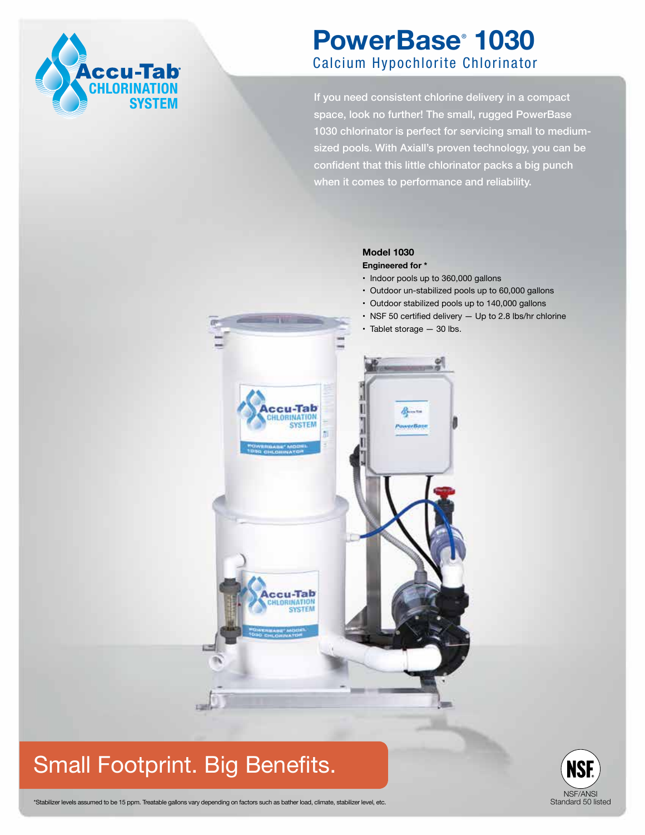

# **PowerBase**®  **1030** Calcium Hypochlorite Chlorinator

If you need consistent chlorine delivery in a compact space, look no further! The small, rugged PowerBase 1030 chlorinator is perfect for servicing small to mediumsized pools. With Axiall's proven technology, you can be confident that this little chlorinator packs a big punch when it comes to performance and reliability.

### **Model 1030**

-Tab INATION

ccu-Tab **UNATION** 

#### **Engineered for \***

- Indoor pools up to 360,000 gallons
- Outdoor un-stabilized pools up to 60,000 gallons
- Outdoor stabilized pools up to 140,000 gallons
- NSF 50 certified delivery Up to 2.8 lbs/hr chlorine
- Tablet storage 30 lbs.

erBas

# Small Footprint. Big Benefits.



\*Stabilizer levels assumed to be 15 ppm. Treatable gallons vary depending on factors such as bather load, climate, stabilizer level, etc.